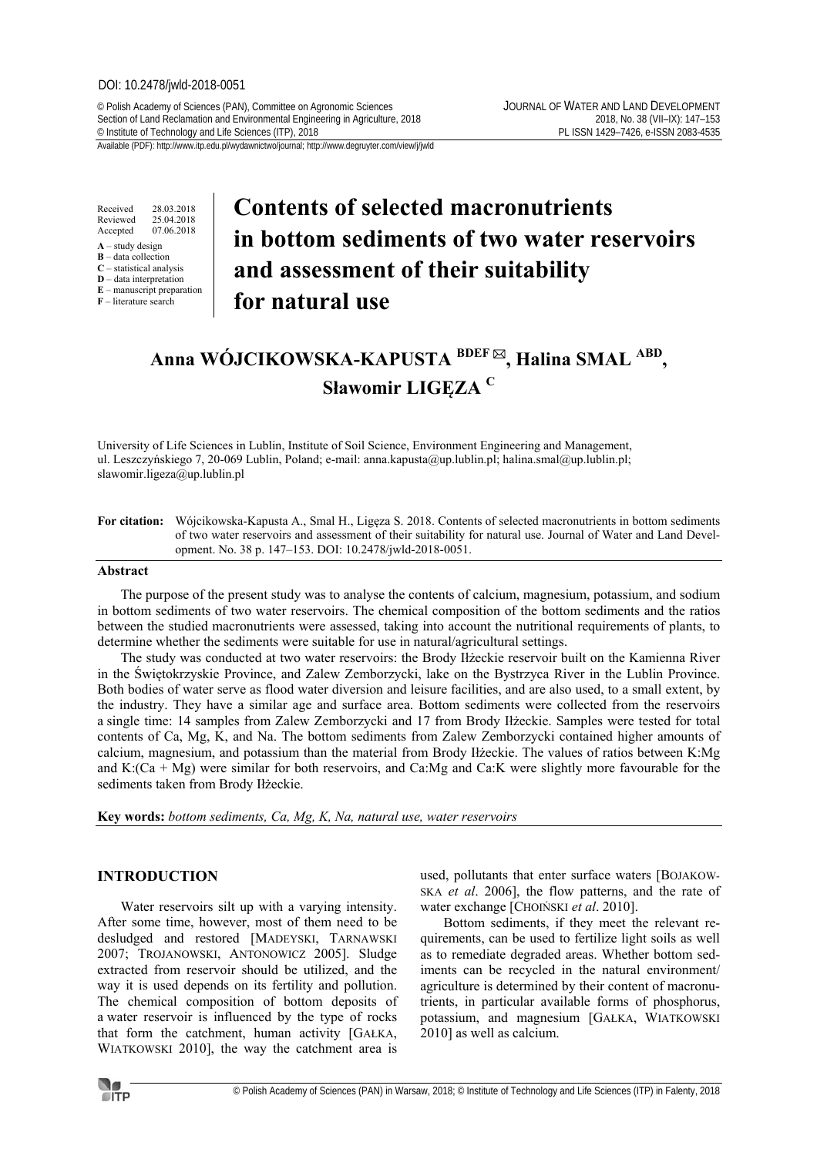### DOI: 10.2478/jwld-2018-0051

© Polish Academy of Sciences (PAN), Committee on Agronomic Sciences JOURNAL OF WATER AND LAND DEVELOPMENT Section of Land Reclamation and Environmental Engineering in Agriculture, 2018<br>
C Institute of Technology and Life Sciences (ITP), 2018<br>
PL ISSN 1429-7426, e-ISSN 2083-4535 <sup>©</sup> Institute of Technology and Life Sciences (ITP), 2018

Received 28.03.2018<br>Reviewed 25.04.2018 Reviewed 25.04.2018<br>Accepted 07.06.2018 07.06.2018

- **A** study design **B** – data collection
- **C** statistical analysis
- **D** data interpretation
- **E** manuscript preparation **F** – literature search

# **Contents of selected macronutrients in bottom sediments of two water reservoirs and assessment of their suitability for natural use**

## **Anna WÓJCIKOWSKA-KAPUSTA BDEF , Halina SMAL ABD , Sławomir LIGĘZA <sup>C</sup>**

University of Life Sciences in Lublin, Institute of Soil Science, Environment Engineering and Management, ul. Leszczyńskiego 7, 20-069 Lublin, Poland; e-mail: anna.kapusta@up.lublin.pl; halina.smal@up.lublin.pl; slawomir.ligeza@up.lublin.pl

**For citation:** Wójcikowska-Kapusta A., Smal H., Ligęza S. 2018. Contents of selected macronutrients in bottom sediments of two water reservoirs and assessment of their suitability for natural use. Journal of Water and Land Development. No. 38 p. 147–153. DOI: 10.2478/jwld-2018-0051.

## **Abstract**

The purpose of the present study was to analyse the contents of calcium, magnesium, potassium, and sodium in bottom sediments of two water reservoirs. The chemical composition of the bottom sediments and the ratios between the studied macronutrients were assessed, taking into account the nutritional requirements of plants, to determine whether the sediments were suitable for use in natural/agricultural settings.

The study was conducted at two water reservoirs: the Brody Iłżeckie reservoir built on the Kamienna River in the Świętokrzyskie Province, and Zalew Zemborzycki, lake on the Bystrzyca River in the Lublin Province. Both bodies of water serve as flood water diversion and leisure facilities, and are also used, to a small extent, by the industry. They have a similar age and surface area. Bottom sediments were collected from the reservoirs a single time: 14 samples from Zalew Zemborzycki and 17 from Brody Iłżeckie. Samples were tested for total contents of Ca, Mg, K, and Na. The bottom sediments from Zalew Zemborzycki contained higher amounts of calcium, magnesium, and potassium than the material from Brody Iłżeckie. The values of ratios between K:Mg and K:(Ca + Mg) were similar for both reservoirs, and Ca:Mg and Ca:K were slightly more favourable for the sediments taken from Brody Iłżeckie.

**Key words:** *bottom sediments, Ca, Mg, K, Na, natural use, water reservoirs* 

## **INTRODUCTION**

Water reservoirs silt up with a varying intensity. After some time, however, most of them need to be desludged and restored [MADEYSKI, TARNAWSKI 2007; TROJANOWSKI, ANTONOWICZ 2005]. Sludge extracted from reservoir should be utilized, and the way it is used depends on its fertility and pollution. The chemical composition of bottom deposits of a water reservoir is influenced by the type of rocks that form the catchment, human activity [GAŁKA, WIATKOWSKI 2010], the way the catchment area is

used, pollutants that enter surface waters [BOJAKOW-SKA *et al*. 2006], the flow patterns, and the rate of water exchange [CHOIŃSKI *et al*. 2010].

Bottom sediments, if they meet the relevant requirements, can be used to fertilize light soils as well as to remediate degraded areas. Whether bottom sediments can be recycled in the natural environment/ agriculture is determined by their content of macronutrients, in particular available forms of phosphorus, potassium, and magnesium [GAŁKA, WIATKOWSKI 2010] as well as calcium.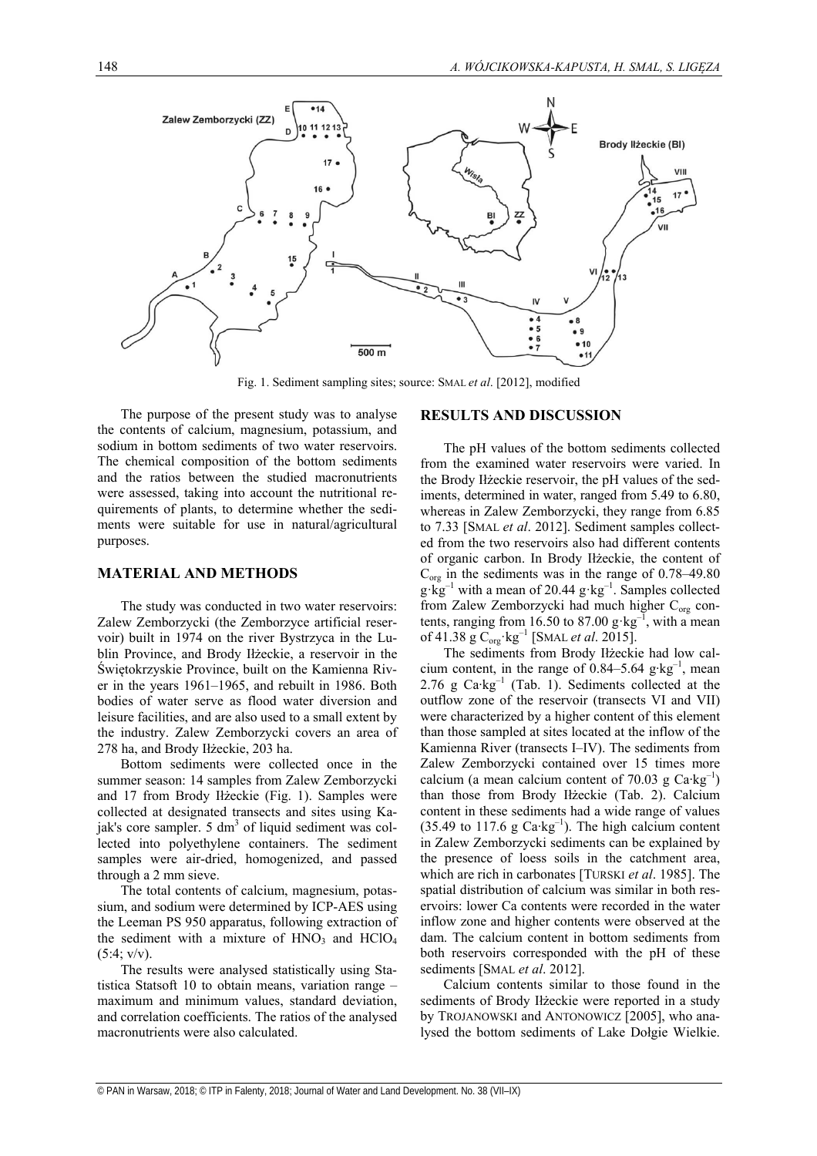

Fig. 1. Sediment sampling sites; source: SMAL *et al*. [2012], modified

The purpose of the present study was to analyse the contents of calcium, magnesium, potassium, and sodium in bottom sediments of two water reservoirs. The chemical composition of the bottom sediments and the ratios between the studied macronutrients were assessed, taking into account the nutritional requirements of plants, to determine whether the sediments were suitable for use in natural/agricultural purposes.

### **MATERIAL AND METHODS**

The study was conducted in two water reservoirs: Zalew Zemborzycki (the Zemborzyce artificial reservoir) built in 1974 on the river Bystrzyca in the Lublin Province, and Brody Iłżeckie, a reservoir in the Świętokrzyskie Province, built on the Kamienna River in the years 1961–1965, and rebuilt in 1986. Both bodies of water serve as flood water diversion and leisure facilities, and are also used to a small extent by the industry. Zalew Zemborzycki covers an area of 278 ha, and Brody Iłżeckie, 203 ha.

Bottom sediments were collected once in the summer season: 14 samples from Zalew Zemborzycki and 17 from Brody Iłżeckie (Fig. 1). Samples were collected at designated transects and sites using Kajak's core sampler.  $5 \text{ dm}^3$  of liquid sediment was collected into polyethylene containers. The sediment samples were air-dried, homogenized, and passed through a 2 mm sieve.

The total contents of calcium, magnesium, potassium, and sodium were determined by ICP-AES using the Leeman PS 950 apparatus, following extraction of the sediment with a mixture of  $HNO<sub>3</sub>$  and  $HClO<sub>4</sub>$  $(5:4; v/v)$ .

The results were analysed statistically using Statistica Statsoft 10 to obtain means, variation range – maximum and minimum values, standard deviation, and correlation coefficients. The ratios of the analysed macronutrients were also calculated.

## **RESULTS AND DISCUSSION**

The pH values of the bottom sediments collected from the examined water reservoirs were varied. In the Brody Iłżeckie reservoir, the pH values of the sediments, determined in water, ranged from 5.49 to 6.80, whereas in Zalew Zemborzycki, they range from 6.85 to 7.33 [SMAL *et al*. 2012]. Sediment samples collected from the two reservoirs also had different contents of organic carbon. In Brody Iłżeckie, the content of  $C_{org}$  in the sediments was in the range of 0.78–49.80  $g \cdot kg^{-1}$  with a mean of 20.44  $g \cdot kg^{-1}$ . Samples collected from Zalew Zemborzycki had much higher C<sub>org</sub> contents, ranging from 16.50 to 87.00  $g \text{·kg}^{-1}$ , with a mean of 41.38 g C<sub>org</sub>·kg<sup>-1</sup> [SMAL *et al.* 2015].

The sediments from Brody Iłżeckie had low calcium content, in the range of 0.84–5.64 g⋅kg<sup>-1</sup>, mean 2.76 g Ca⋅kg<sup>-1</sup> (Tab. 1). Sediments collected at the outflow zone of the reservoir (transects VI and VII) were characterized by a higher content of this element than those sampled at sites located at the inflow of the Kamienna River (transects I–IV). The sediments from Zalew Zemborzycki contained over 15 times more calcium (a mean calcium content of 70.03 g Ca⋅kg<sup>-1</sup>) than those from Brody Iłżeckie (Tab. 2). Calcium content in these sediments had a wide range of values (35.49 to 117.6 g  $\text{Ca/kg}^{-1}$ ). The high calcium content in Zalew Zemborzycki sediments can be explained by the presence of loess soils in the catchment area, which are rich in carbonates [TURSKI *et al*. 1985]. The spatial distribution of calcium was similar in both reservoirs: lower Ca contents were recorded in the water inflow zone and higher contents were observed at the dam. The calcium content in bottom sediments from both reservoirs corresponded with the pH of these sediments [SMAL *et al*. 2012].

Calcium contents similar to those found in the sediments of Brody Iłżeckie were reported in a study by TROJANOWSKI and ANTONOWICZ [2005], who analysed the bottom sediments of Lake Dołgie Wielkie.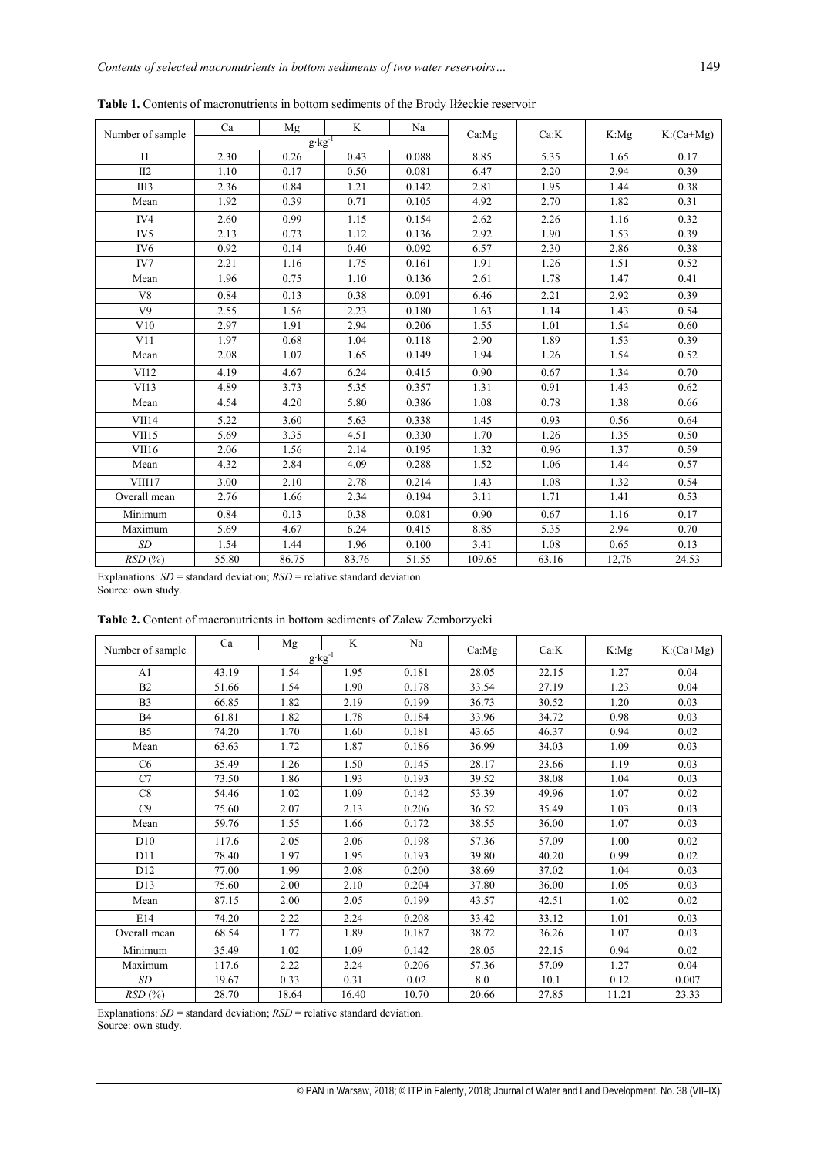| Number of sample | Ca    | Mg                   | K     | Na    | Ca: Mg | Ca:K  | K:Mg  | $K:(Ca+Mg)$ |
|------------------|-------|----------------------|-------|-------|--------|-------|-------|-------------|
|                  |       | $g$ kg <sup>-1</sup> |       |       |        |       |       |             |
| I1               | 2.30  | 0.26                 | 0.43  | 0.088 | 8.85   | 5.35  | 1.65  | 0.17        |
| II2              | 1.10  | 0.17                 | 0.50  | 0.081 | 6.47   | 2.20  | 2.94  | 0.39        |
| III <sub>3</sub> | 2.36  | 0.84                 | 1.21  | 0.142 | 2.81   | 1.95  | 1.44  | 0.38        |
| Mean             | 1.92  | 0.39                 | 0.71  | 0.105 | 4.92   | 2.70  | 1.82  | 0.31        |
| IV4              | 2.60  | 0.99                 | 1.15  | 0.154 | 2.62   | 2.26  | 1.16  | 0.32        |
| IV <sub>5</sub>  | 2.13  | 0.73                 | 1.12  | 0.136 | 2.92   | 1.90  | 1.53  | 0.39        |
| IV <sub>6</sub>  | 0.92  | 0.14                 | 0.40  | 0.092 | 6.57   | 2.30  | 2.86  | 0.38        |
| IV7              | 2.21  | 1.16                 | 1.75  | 0.161 | 1.91   | 1.26  | 1.51  | 0.52        |
| Mean             | 1.96  | 0.75                 | 1.10  | 0.136 | 2.61   | 1.78  | 1.47  | 0.41        |
| V8               | 0.84  | 0.13                 | 0.38  | 0.091 | 6.46   | 2.21  | 2.92  | 0.39        |
| V <sub>9</sub>   | 2.55  | 1.56                 | 2.23  | 0.180 | 1.63   | 1.14  | 1.43  | 0.54        |
| V10              | 2.97  | 1.91                 | 2.94  | 0.206 | 1.55   | 1.01  | 1.54  | 0.60        |
| V11              | 1.97  | 0.68                 | 1.04  | 0.118 | 2.90   | 1.89  | 1.53  | 0.39        |
| Mean             | 2.08  | 1.07                 | 1.65  | 0.149 | 1.94   | 1.26  | 1.54  | 0.52        |
| VI12             | 4.19  | 4.67                 | 6.24  | 0.415 | 0.90   | 0.67  | 1.34  | 0.70        |
| VI13             | 4.89  | 3.73                 | 5.35  | 0.357 | 1.31   | 0.91  | 1.43  | 0.62        |
| Mean             | 4.54  | 4.20                 | 5.80  | 0.386 | 1.08   | 0.78  | 1.38  | 0.66        |
| VII14            | 5.22  | 3.60                 | 5.63  | 0.338 | 1.45   | 0.93  | 0.56  | 0.64        |
| VII15            | 5.69  | 3.35                 | 4.51  | 0.330 | 1.70   | 1.26  | 1.35  | 0.50        |
| VII16            | 2.06  | 1.56                 | 2.14  | 0.195 | 1.32   | 0.96  | 1.37  | 0.59        |
| Mean             | 4.32  | 2.84                 | 4.09  | 0.288 | 1.52   | 1.06  | 1.44  | 0.57        |
| VIII17           | 3.00  | 2.10                 | 2.78  | 0.214 | 1.43   | 1.08  | 1.32  | 0.54        |
| Overall mean     | 2.76  | 1.66                 | 2.34  | 0.194 | 3.11   | 1.71  | 1.41  | 0.53        |
| Minimum          | 0.84  | 0.13                 | 0.38  | 0.081 | 0.90   | 0.67  | 1.16  | 0.17        |
| Maximum          | 5.69  | 4.67                 | 6.24  | 0.415 | 8.85   | 5.35  | 2.94  | 0.70        |
| SD               | 1.54  | 1.44                 | 1.96  | 0.100 | 3.41   | 1.08  | 0.65  | 0.13        |
| RSD(%)           | 55.80 | 86.75                | 83.76 | 51.55 | 109.65 | 63.16 | 12,76 | 24.53       |

**Table 1.** Contents of macronutrients in bottom sediments of the Brody Iłżeckie reservoir

Explanations: *SD* = standard deviation; *RSD* = relative standard deviation. Source: own study.

| <b>Table 2.</b> Content of macronutrients in bottom sediments of Zalew Zemborzycki |  |
|------------------------------------------------------------------------------------|--|
|------------------------------------------------------------------------------------|--|

|                  | Ca    | Mg    | K                 | Na    |        | Ca:K  |         | $K:(Ca+Mg)$ |
|------------------|-------|-------|-------------------|-------|--------|-------|---------|-------------|
| Number of sample |       |       | $g \cdot kg^{-1}$ |       | Ca: Mg |       | $K:$ Mg |             |
| A1               | 43.19 | 1.54  | 1.95              | 0.181 | 28.05  | 22.15 | 1.27    | 0.04        |
| B2               | 51.66 | 1.54  | 1.90              | 0.178 | 33.54  | 27.19 | 1.23    | 0.04        |
| B <sub>3</sub>   | 66.85 | 1.82  | 2.19              | 0.199 | 36.73  | 30.52 | 1.20    | 0.03        |
| <b>B4</b>        | 61.81 | 1.82  | 1.78              | 0.184 | 33.96  | 34.72 | 0.98    | 0.03        |
| B <sub>5</sub>   | 74.20 | 1.70  | 1.60              | 0.181 | 43.65  | 46.37 | 0.94    | 0.02        |
| Mean             | 63.63 | 1.72  | 1.87              | 0.186 | 36.99  | 34.03 | 1.09    | 0.03        |
| C <sub>6</sub>   | 35.49 | 1.26  | 1.50              | 0.145 | 28.17  | 23.66 | 1.19    | 0.03        |
| C7               | 73.50 | 1.86  | 1.93              | 0.193 | 39.52  | 38.08 | 1.04    | 0.03        |
| C8               | 54.46 | 1.02  | 1.09              | 0.142 | 53.39  | 49.96 | 1.07    | 0.02        |
| C9               | 75.60 | 2.07  | 2.13              | 0.206 | 36.52  | 35.49 | 1.03    | 0.03        |
| Mean             | 59.76 | 1.55  | 1.66              | 0.172 | 38.55  | 36.00 | 1.07    | 0.03        |
| D10              | 117.6 | 2.05  | 2.06              | 0.198 | 57.36  | 57.09 | 1.00    | 0.02        |
| D11              | 78.40 | 1.97  | 1.95              | 0.193 | 39.80  | 40.20 | 0.99    | 0.02        |
| D <sub>12</sub>  | 77.00 | 1.99  | 2.08              | 0.200 | 38.69  | 37.02 | 1.04    | 0.03        |
| D13              | 75.60 | 2.00  | 2.10              | 0.204 | 37.80  | 36.00 | 1.05    | 0.03        |
| Mean             | 87.15 | 2.00  | 2.05              | 0.199 | 43.57  | 42.51 | 1.02    | 0.02        |
| E14              | 74.20 | 2.22  | 2.24              | 0.208 | 33.42  | 33.12 | 1.01    | 0.03        |
| Overall mean     | 68.54 | 1.77  | 1.89              | 0.187 | 38.72  | 36.26 | 1.07    | 0.03        |
| Minimum          | 35.49 | 1.02  | 1.09              | 0.142 | 28.05  | 22.15 | 0.94    | 0.02        |
| Maximum          | 117.6 | 2.22  | 2.24              | 0.206 | 57.36  | 57.09 | 1.27    | 0.04        |
| SD               | 19.67 | 0.33  | 0.31              | 0.02  | 8.0    | 10.1  | 0.12    | 0.007       |
| RSD(%)           | 28.70 | 18.64 | 16.40             | 10.70 | 20.66  | 27.85 | 11.21   | 23.33       |

Explanations: *SD* = standard deviation; *RSD* = relative standard deviation. Source: own study.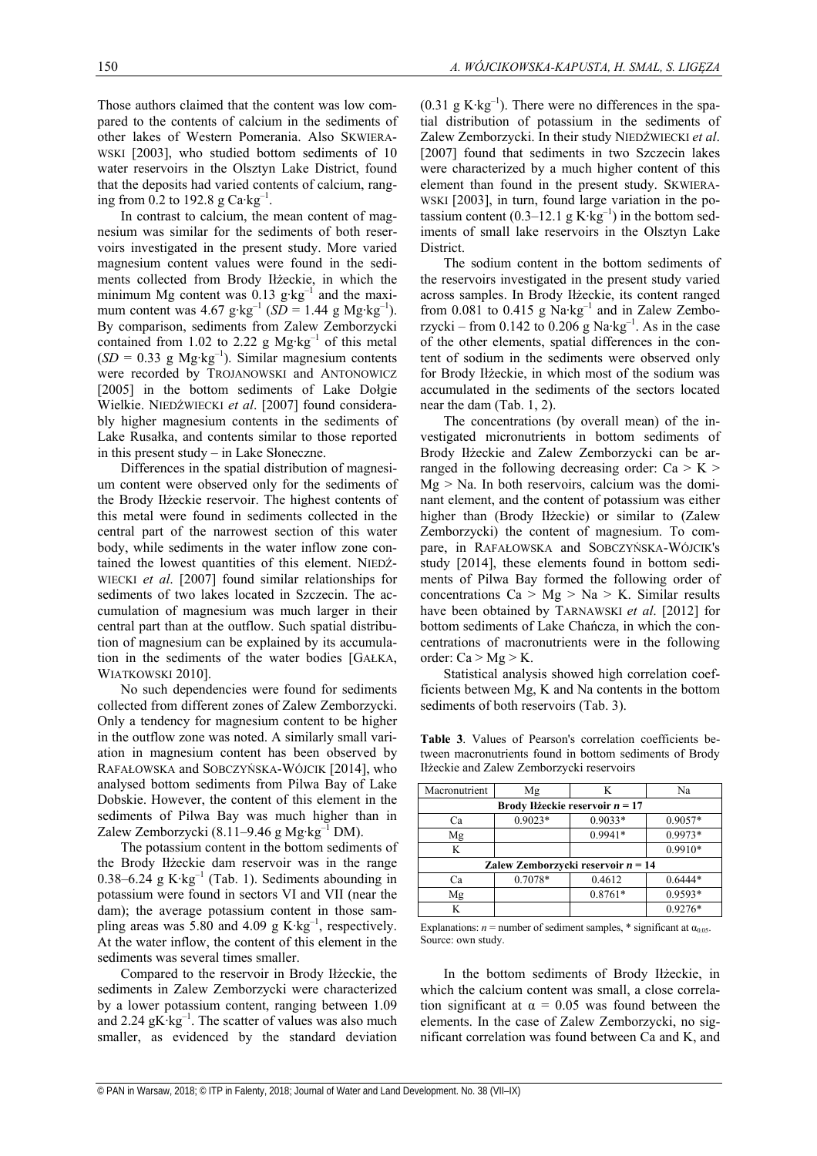Those authors claimed that the content was low compared to the contents of calcium in the sediments of other lakes of Western Pomerania. Also SKWIERA-WSKI [2003], who studied bottom sediments of 10 water reservoirs in the Olsztyn Lake District, found that the deposits had varied contents of calcium, ranging from 0.2 to 192.8 g  $Ca \cdot kg^{-1}$ .

In contrast to calcium, the mean content of magnesium was similar for the sediments of both reservoirs investigated in the present study. More varied magnesium content values were found in the sediments collected from Brody Iłżeckie, in which the minimum Mg content was  $0.13$  g⋅kg<sup>-1</sup> and the maximum content was 4.67 g⋅kg<sup>-1</sup> (*SD* = 1.44 g Mg⋅kg<sup>-1</sup>). By comparison, sediments from Zalew Zemborzycki contained from 1.02 to 2.22 g Mg⋅kg<sup>-1</sup> of this metal  $(SD = 0.33$  g Mg⋅kg<sup>-1</sup>). Similar magnesium contents were recorded by TROJANOWSKI and ANTONOWICZ [2005] in the bottom sediments of Lake Dołgie Wielkie. NIEDŹWIECKI *et al*. [2007] found considerably higher magnesium contents in the sediments of Lake Rusałka, and contents similar to those reported in this present study – in Lake Słoneczne.

Differences in the spatial distribution of magnesium content were observed only for the sediments of the Brody Iłżeckie reservoir. The highest contents of this metal were found in sediments collected in the central part of the narrowest section of this water body, while sediments in the water inflow zone contained the lowest quantities of this element. NIEDŹ-WIECKI *et al*. [2007] found similar relationships for sediments of two lakes located in Szczecin. The accumulation of magnesium was much larger in their central part than at the outflow. Such spatial distribution of magnesium can be explained by its accumulation in the sediments of the water bodies [GAŁKA, WIATKOWSKI 2010].

No such dependencies were found for sediments collected from different zones of Zalew Zemborzycki. Only a tendency for magnesium content to be higher in the outflow zone was noted. A similarly small variation in magnesium content has been observed by RAFAŁOWSKA and SOBCZYŃSKA-WÓJCIK [2014], who analysed bottom sediments from Pilwa Bay of Lake Dobskie. However, the content of this element in the sediments of Pilwa Bay was much higher than in Zalew Zemborzycki (8.11–9.46 g Mg∙kg–1 DM).

The potassium content in the bottom sediments of the Brody Iłżeckie dam reservoir was in the range 0.38–6.24 g K∙kg–1 (Tab. 1). Sediments abounding in potassium were found in sectors VI and VII (near the dam); the average potassium content in those sampling areas was 5.80 and 4.09 g K⋅kg<sup>-1</sup>, respectively. At the water inflow, the content of this element in the sediments was several times smaller.

Compared to the reservoir in Brody Iłżeckie, the sediments in Zalew Zemborzycki were characterized by a lower potassium content, ranging between 1.09 and 2.24 gK∙kg–1. The scatter of values was also much smaller, as evidenced by the standard deviation (0.31 g K⋅kg<sup>-1</sup>). There were no differences in the spatial distribution of potassium in the sediments of Zalew Zemborzycki. In their study NIEDŹWIECKI *et al*. [2007] found that sediments in two Szczecin lakes were characterized by a much higher content of this element than found in the present study. SKWIERA-WSKI [2003], in turn, found large variation in the potassium content (0.3–12.1 g K⋅kg<sup>-1</sup>) in the bottom sediments of small lake reservoirs in the Olsztyn Lake District.

The sodium content in the bottom sediments of the reservoirs investigated in the present study varied across samples. In Brody Iłżeckie, its content ranged from 0.081 to 0.415 g Na⋅kg<sup>-1</sup> and in Zalew Zemborzycki – from 0.142 to 0.206 g Na∙kg<sup>-1</sup>. As in the case of the other elements, spatial differences in the content of sodium in the sediments were observed only for Brody Iłżeckie, in which most of the sodium was accumulated in the sediments of the sectors located near the dam (Tab. 1, 2).

The concentrations (by overall mean) of the investigated micronutrients in bottom sediments of Brody Iłżeckie and Zalew Zemborzycki can be arranged in the following decreasing order:  $Ca > K >$  $Mg > Na$ . In both reservoirs, calcium was the dominant element, and the content of potassium was either higher than (Brody Iłżeckie) or similar to (Zalew Zemborzycki) the content of magnesium. To compare, in RAFAŁOWSKA and SOBCZYŃSKA-WÓJCIK's study [2014], these elements found in bottom sediments of Pilwa Bay formed the following order of concentrations  $Ca > Mg > Na > K$ . Similar results have been obtained by TARNAWSKI *et al*. [2012] for bottom sediments of Lake Chańcza, in which the concentrations of macronutrients were in the following order:  $Ca > Mg > K$ .

Statistical analysis showed high correlation coefficients between Mg, K and Na contents in the bottom sediments of both reservoirs (Tab. 3).

**Table 3**. Values of Pearson's correlation coefficients between macronutrients found in bottom sediments of Brody Iłżeckie and Zalew Zemborzycki reservoirs

| Macronutrient                        | Mg        |           | Na        |  |  |  |  |
|--------------------------------------|-----------|-----------|-----------|--|--|--|--|
| Brody Ilżeckie reservoir $n = 17$    |           |           |           |  |  |  |  |
| Cа                                   | $0.9023*$ | $0.9033*$ | $0.9057*$ |  |  |  |  |
| Mg                                   |           | $0.9941*$ | 0.9973*   |  |  |  |  |
| K                                    |           |           | $0.9910*$ |  |  |  |  |
| Zalew Zemborzycki reservoir $n = 14$ |           |           |           |  |  |  |  |
| Ca                                   | 0.7078*   | 0.4612    | $0.6444*$ |  |  |  |  |
| Mg                                   |           | $0.8761*$ | $0.9593*$ |  |  |  |  |
| K                                    |           |           | $0.9276*$ |  |  |  |  |

Explanations:  $n =$  number of sediment samples, \* significant at  $\alpha_{0.05}$ . Source: own study.

In the bottom sediments of Brody Iłżeckie, in which the calcium content was small, a close correlation significant at  $\alpha = 0.05$  was found between the elements. In the case of Zalew Zemborzycki, no significant correlation was found between Ca and K, and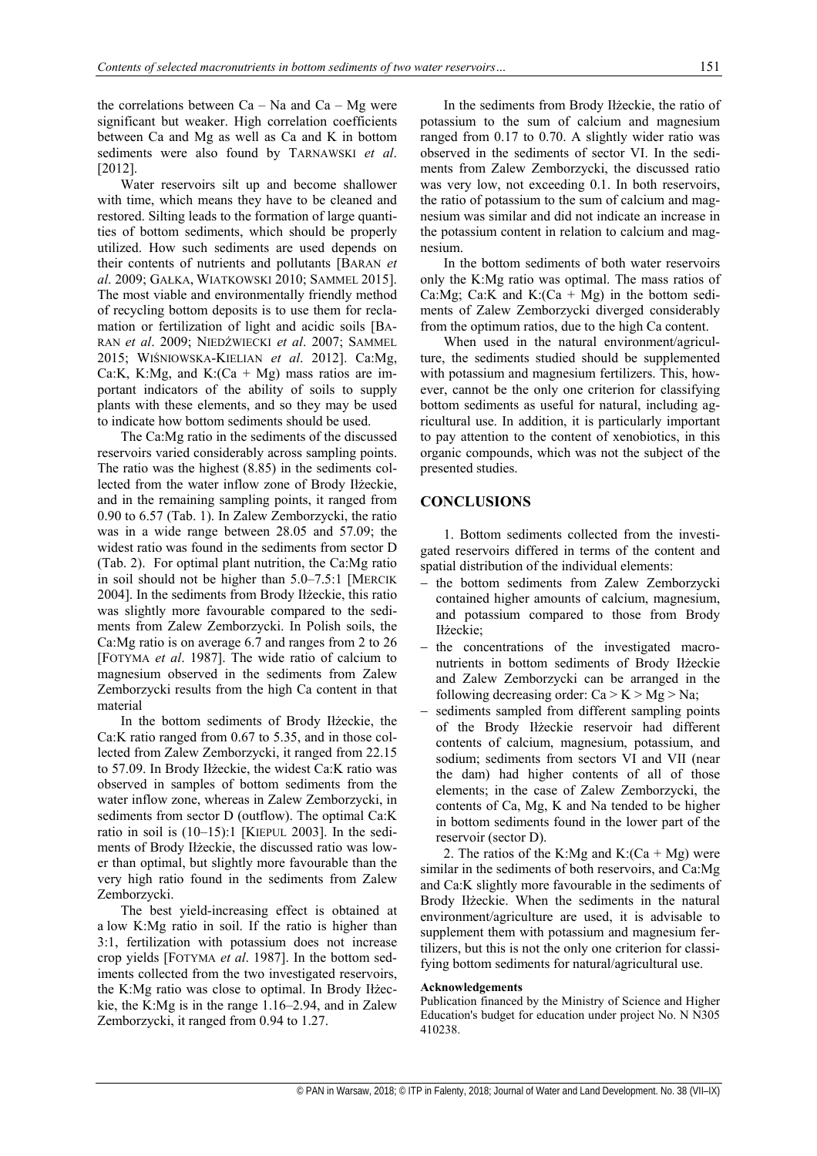the correlations between  $Ca - Na$  and  $Ca - Mg$  were significant but weaker. High correlation coefficients between Ca and Mg as well as Ca and K in bottom sediments were also found by TARNAWSKI *et al*. [2012].

Water reservoirs silt up and become shallower with time, which means they have to be cleaned and restored. Silting leads to the formation of large quantities of bottom sediments, which should be properly utilized. How such sediments are used depends on their contents of nutrients and pollutants [BARAN *et al*. 2009; GAŁKA, WIATKOWSKI 2010; SAMMEL 2015]. The most viable and environmentally friendly method of recycling bottom deposits is to use them for reclamation or fertilization of light and acidic soils [BA-RAN *et al*. 2009; NIEDŹWIECKI *et al*. 2007; SAMMEL 2015; WIŚNIOWSKA-KIELIAN *et al*. 2012]. Ca:Mg, Ca:K, K:Mg, and K:(Ca + Mg) mass ratios are important indicators of the ability of soils to supply plants with these elements, and so they may be used to indicate how bottom sediments should be used.

The Ca:Mg ratio in the sediments of the discussed reservoirs varied considerably across sampling points. The ratio was the highest (8.85) in the sediments collected from the water inflow zone of Brody Iłżeckie, and in the remaining sampling points, it ranged from 0.90 to 6.57 (Tab. 1). In Zalew Zemborzycki, the ratio was in a wide range between 28.05 and 57.09; the widest ratio was found in the sediments from sector D (Tab. 2). For optimal plant nutrition, the Ca:Mg ratio in soil should not be higher than 5.0–7.5:1 [MERCIK 2004]. In the sediments from Brody Iłżeckie, this ratio was slightly more favourable compared to the sediments from Zalew Zemborzycki. In Polish soils, the Ca:Mg ratio is on average 6.7 and ranges from 2 to 26 [FOTYMA *et al*. 1987]. The wide ratio of calcium to magnesium observed in the sediments from Zalew Zemborzycki results from the high Ca content in that material

In the bottom sediments of Brody Iłżeckie, the Ca:K ratio ranged from 0.67 to 5.35, and in those collected from Zalew Zemborzycki, it ranged from 22.15 to 57.09. In Brody Iłżeckie, the widest Ca:K ratio was observed in samples of bottom sediments from the water inflow zone, whereas in Zalew Zemborzycki, in sediments from sector D (outflow). The optimal Ca:K ratio in soil is  $(10-15)$ :1 [KIEPUL 2003]. In the sediments of Brody Iłżeckie, the discussed ratio was lower than optimal, but slightly more favourable than the very high ratio found in the sediments from Zalew Zemborzycki.

The best yield-increasing effect is obtained at a low K:Mg ratio in soil. If the ratio is higher than 3:1, fertilization with potassium does not increase crop yields [FOTYMA *et al*. 1987]. In the bottom sediments collected from the two investigated reservoirs, the K:Mg ratio was close to optimal. In Brody Iłżeckie, the K:Mg is in the range 1.16–2.94, and in Zalew Zemborzycki, it ranged from 0.94 to 1.27.

In the sediments from Brody Iłżeckie, the ratio of potassium to the sum of calcium and magnesium ranged from 0.17 to 0.70. A slightly wider ratio was observed in the sediments of sector VI. In the sediments from Zalew Zemborzycki, the discussed ratio was very low, not exceeding 0.1. In both reservoirs, the ratio of potassium to the sum of calcium and magnesium was similar and did not indicate an increase in the potassium content in relation to calcium and magnesium.

In the bottom sediments of both water reservoirs only the K:Mg ratio was optimal. The mass ratios of Ca:Mg; Ca:K and K: $(Ca + Mg)$  in the bottom sediments of Zalew Zemborzycki diverged considerably from the optimum ratios, due to the high Ca content.

When used in the natural environment/agriculture, the sediments studied should be supplemented with potassium and magnesium fertilizers. This, however, cannot be the only one criterion for classifying bottom sediments as useful for natural, including agricultural use. In addition, it is particularly important to pay attention to the content of xenobiotics, in this organic compounds, which was not the subject of the presented studies.

## **CONCLUSIONS**

1. Bottom sediments collected from the investigated reservoirs differed in terms of the content and spatial distribution of the individual elements:

- the bottom sediments from Zalew Zemborzycki contained higher amounts of calcium, magnesium, and potassium compared to those from Brody Iłżeckie;
- the concentrations of the investigated macronutrients in bottom sediments of Brody Iłżeckie and Zalew Zemborzycki can be arranged in the following decreasing order:  $Ca > K > Mg > Na$ ;
- sediments sampled from different sampling points of the Brody Iłżeckie reservoir had different contents of calcium, magnesium, potassium, and sodium; sediments from sectors VI and VII (near the dam) had higher contents of all of those elements; in the case of Zalew Zemborzycki, the contents of Ca, Mg, K and Na tended to be higher in bottom sediments found in the lower part of the reservoir (sector D).

2. The ratios of the K:Mg and K:(Ca + Mg) were similar in the sediments of both reservoirs, and Ca:Mg and Ca:K slightly more favourable in the sediments of Brody Iłżeckie. When the sediments in the natural environment/agriculture are used, it is advisable to supplement them with potassium and magnesium fertilizers, but this is not the only one criterion for classifying bottom sediments for natural/agricultural use.

#### **Acknowledgements**

Publication financed by the Ministry of Science and Higher Education's budget for education under project No. N N305 410238.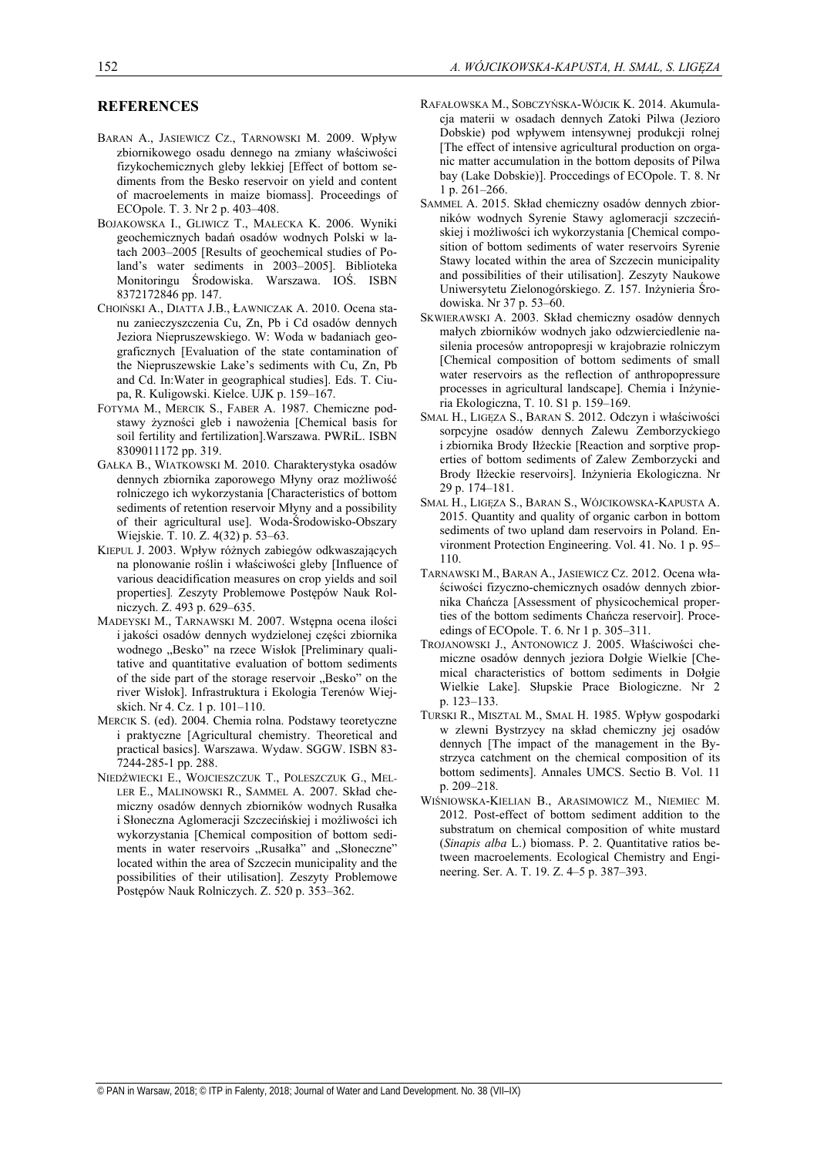## **REFERENCES**

- BARAN A., JASIEWICZ CZ., TARNOWSKI M. 2009. Wpływ zbiornikowego osadu dennego na zmiany właściwości fizykochemicznych gleby lekkiej [Effect of bottom sediments from the Besko reservoir on yield and content of macroelements in maize biomass]. Proceedings of ECOpole. T. 3. Nr 2 p. 403–408.
- BOJAKOWSKA I., GLIWICZ T., MAŁECKA K. 2006. Wyniki geochemicznych badań osadów wodnych Polski w latach 2003–2005 [Results of geochemical studies of Poland's water sediments in 2003–2005]. Biblioteka Monitoringu Środowiska. Warszawa. IOŚ. ISBN 8372172846 pp. 147.
- CHOIŃSKI A., DIATTA J.B., ŁAWNICZAK A. 2010. Ocena stanu zanieczyszczenia Cu, Zn, Pb i Cd osadów dennych Jeziora Niepruszewskiego. W: Woda w badaniach geograficznych [Evaluation of the state contamination of the Niepruszewskie Lake's sediments with Cu, Zn, Pb and Cd. In:Water in geographical studies]. Eds. T. Ciupa, R. Kuligowski. Kielce. UJK p. 159–167.
- FOTYMA M., MERCIK S., FABER A. 1987. Chemiczne podstawy żyzności gleb i nawożenia [Chemical basis for soil fertility and fertilization].Warszawa. PWRiL. ISBN 8309011172 pp. 319.
- GAŁKA B., WIATKOWSKI M. 2010. Charakterystyka osadów dennych zbiornika zaporowego Młyny oraz możliwość rolniczego ich wykorzystania [Characteristics of bottom sediments of retention reservoir Młyny and a possibility of their agricultural use]. Woda-Środowisko-Obszary Wiejskie. T. 10. Z. 4(32) p. 53–63.
- KIEPUL J. 2003. Wpływ różnych zabiegów odkwaszających na plonowanie roślin i właściwości gleby [Influence of various deacidification measures on crop yields and soil properties]*.* Zeszyty Problemowe Postępów Nauk Rolniczych. Z. 493 p. 629–635.
- MADEYSKI M., TARNAWSKI M. 2007. Wstępna ocena ilości i jakości osadów dennych wydzielonej części zbiornika wodnego "Besko" na rzece Wisłok [Preliminary qualitative and quantitative evaluation of bottom sediments of the side part of the storage reservoir "Besko" on the river Wisłok]. Infrastruktura i Ekologia Terenów Wiejskich. Nr 4. Cz. 1 p. 101–110.
- MERCIK S. (ed). 2004. Chemia rolna. Podstawy teoretyczne i praktyczne [Agricultural chemistry. Theoretical and practical basics]. Warszawa. Wydaw. SGGW. ISBN 83- 7244-285-1 pp. 288.
- NIEDŹWIECKI E., WOJCIESZCZUK T., POLESZCZUK G., MEL-LER E., MALINOWSKI R., SAMMEL A. 2007. Skład chemiczny osadów dennych zbiorników wodnych Rusałka i Słoneczna Aglomeracji Szczecińskiej i możliwości ich wykorzystania [Chemical composition of bottom sediments in water reservoirs "Rusałka" and "Słoneczne" located within the area of Szczecin municipality and the possibilities of their utilisation]. Zeszyty Problemowe Postępów Nauk Rolniczych. Z. 520 p. 353–362.
- RAFAŁOWSKA M., SOBCZYŃSKA-WÓJCIK K. 2014. Akumulacja materii w osadach dennych Zatoki Pilwa (Jezioro Dobskie) pod wpływem intensywnej produkcji rolnej [The effect of intensive agricultural production on organic matter accumulation in the bottom deposits of Pilwa bay (Lake Dobskie)]. Proccedings of ECOpole. T. 8. Nr 1 p. 261–266.
- SAMMEL A. 2015. Skład chemiczny osadów dennych zbiorników wodnych Syrenie Stawy aglomeracji szczecińskiej i możliwości ich wykorzystania [Chemical composition of bottom sediments of water reservoirs Syrenie Stawy located within the area of Szczecin municipality and possibilities of their utilisation]. Zeszyty Naukowe Uniwersytetu Zielonogórskiego. Z. 157. Inżynieria Środowiska. Nr 37 p. 53–60.
- SKWIERAWSKI A. 2003. Skład chemiczny osadów dennych małych zbiorników wodnych jako odzwierciedlenie nasilenia procesów antropopresji w krajobrazie rolniczym [Chemical composition of bottom sediments of small water reservoirs as the reflection of anthropopressure processes in agricultural landscape]. Chemia i Inżynieria Ekologiczna, T. 10. S1 p. 159–169.
- SMAL H., LIGĘZA S., BARAN S. 2012. Odczyn i właściwości sorpcyjne osadów dennych Zalewu Zemborzyckiego i zbiornika Brody Iłżeckie [Reaction and sorptive properties of bottom sediments of Zalew Zemborzycki and Brody Iłżeckie reservoirs]. Inżynieria Ekologiczna. Nr 29 p. 174–181.
- SMAL H., LIGĘZA S., BARAN S., WÓJCIKOWSKA-KAPUSTA A. 2015. Quantity and quality of organic carbon in bottom sediments of two upland dam reservoirs in Poland. Environment Protection Engineering. Vol. 41. No. 1 p. 95– 110.
- TARNAWSKI M., BARAN A., JASIEWICZ CZ. 2012. Ocena właściwości fizyczno-chemicznych osadów dennych zbiornika Chańcza [Assessment of physicochemical properties of the bottom sediments Chańcza reservoir]. Proceedings of ECOpole. T. 6. Nr 1 p. 305–311.
- TROJANOWSKI J., ANTONOWICZ J. 2005. Właściwości chemiczne osadów dennych jeziora Dołgie Wielkie [Chemical characteristics of bottom sediments in Dołgie Wielkie Lake]. Słupskie Prace Biologiczne. Nr 2 p. 123–133.
- TURSKI R., MISZTAL M., SMAL H. 1985. Wpływ gospodarki w zlewni Bystrzycy na skład chemiczny jej osadów dennych [The impact of the management in the Bystrzyca catchment on the chemical composition of its bottom sediments]. Annales UMCS. Sectio B. Vol. 11 p. 209–218.
- WIŚNIOWSKA-KIELIAN B., ARASIMOWICZ M., NIEMIEC M. 2012. Post-effect of bottom sediment addition to the substratum on chemical composition of white mustard (*Sinapis alba* L.) biomass. P. 2. Quantitative ratios between macroelements. Ecological Chemistry and Engineering. Ser. A. T. 19. Z. 4–5 p. 387–393.